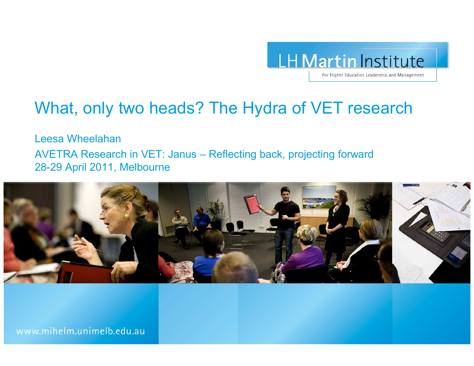

## What, only two heads? The Hydra of VET research

Leesa Wheelahan

AVETRA Research in VET: Janus – Reflecting back, projecting forward 28-29 April 2011, Melbourne

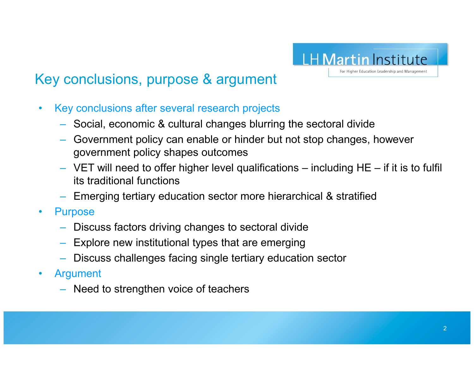

## Key conclusions, purpose & argument

- $\bullet$  Key conclusions after several research projects
	- Social, economic & cultural changes blurring the sectoral divide
	- Government policy can enable or hinder but not stop changes, however government policy shapes outcomes
	- VET will need to offer higher level qualifications including HE if it is to fulfil its traditional functions
	- Emerging tertiary education sector more hierarchical & stratified
- • Purpose
	- Discuss factors driving changes to sectoral divide
	- Explore new institutional types that are emerging
	- Discuss challenges facing single tertiary education sector
- $\bullet$  Argument
	- Need to strengthen voice of teachers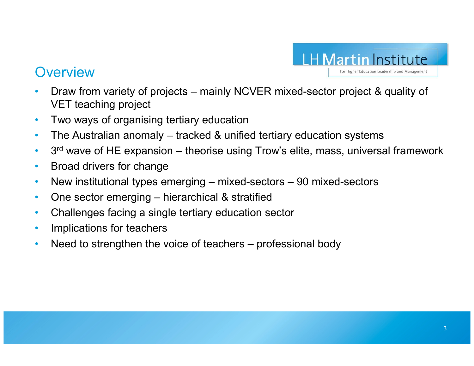

#### **Overview**

- Draw from variety of projects mainly NCVER mixed-sector project & quality of  $VFT$  togeting project. •VET teaching project
- •Two ways of organising tertiary education
- $\bullet$ The Australian anomaly – tracked & unified tertiary education systems
- •3<sup>rd</sup> wave of HE expansion – theorise using Trow's elite, mass, universal framework
- $\bullet$ Broad drivers for change
- $\bullet$ • New institutional types emerging – mixed-sectors – 90 mixed-sectors
- •One sector emerging – hierarchical & stratified
- $\bullet$ Challenges facing a single tertiary education sector
- •Implications for teachers
- •Need to strengthen the voice of teachers – professional body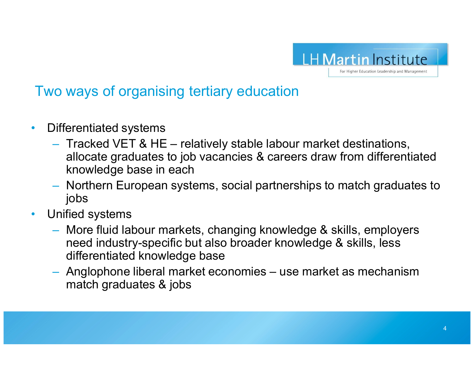

## Two ways of organising tertiary education

- • Differentiated systems
	- Tracked VET & HE relatively stable labour market destinations,<br>allocate graduates to job vacancies & careors draw from differenti allocate graduates to job vacancies & careers draw from differentiated knowledge base in each
	- Northern European systems, social partnerships to match graduates to jobs
- Unified systems•
	- More fluid labour markets, changing knowledge & skills, employers need industry-specific but also broader knowledge & skills, less differentiated knowledge base
	- Anglophone liberal market economies use market as mechanism<br>mateb.graduates & jobs match graduates & jobs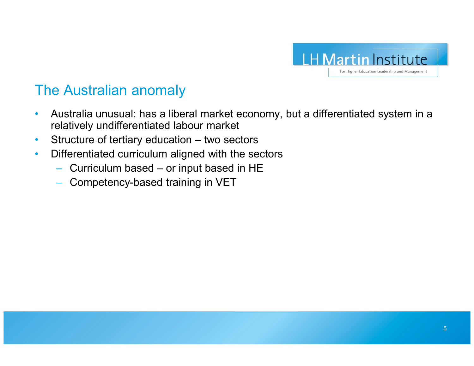

#### The Australian anomaly

- • Australia unusual: has a liberal market economy, but a differentiated system in a relatively undifferentiated labour market
- •Structure of tertiary education – two sectors
- • Differentiated curriculum aligned with the sectors
	- Curriculum based or input based in HE
	- Competency-based training in VET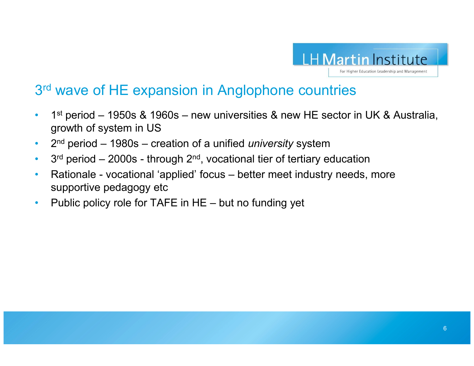

#### 3<sup>rd</sup> wave of HE expansion in Anglophone countries

- $\bullet$  <sup>1</sup>st period – 1950s & 1960s – new universities & new HE sector in UK & Australia, growth of system in US
- $\cdot$  2<sup>nd</sup> period 1980s creation of a unified *university* system  $\bullet$
- $3<sup>rd</sup>$  period 2000s through 2<sup>nd</sup>, vocational tier of tertiary education  $\bullet$
- • Rationale - vocational 'applied' focus – better meet industry needs, more supportive pedagogy etc
- Public policy role for TAFE in HE but no funding yet  $\bullet$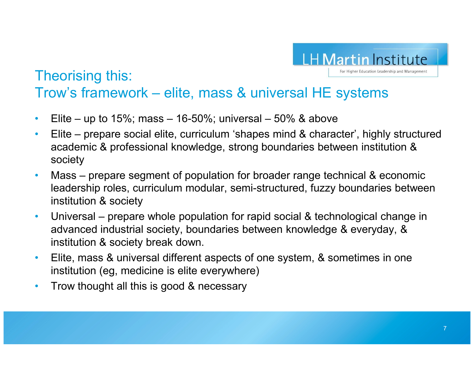

#### Theorising this:Trow's framework – elite, mass & universal HE systems

- •Elite – up to  $15\%$ ; mass –  $16-50\%$ ; universal –  $50\%$  & above
- $\bullet$  Elite – prepare social elite, curriculum 'shapes mind & character', highly structured academic & professional knowledge, strong boundaries between institution & society
- $\bullet$  Mass – prepare segment of population for broader range technical & economic leadership roles, curriculum modular, semi-structured, fuzzy boundaries between institution & society
- • Universal – prepare whole population for rapid social & technological change in advanced industrial society, boundaries between knowledge & everyday, & institution & society break down.
- $\bullet$  Elite, mass & universal different aspects of one system, & sometimes in one institution (eg, medicine is elite everywhere)
- $\bullet$ Trow thought all this is good & necessary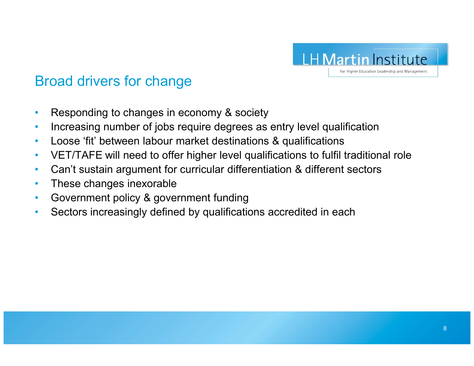

## Broad drivers for change

- •Responding to changes in economy & society
- Increasing number of jobs require degrees as entry level qualification •
- $\bullet$ Loose 'fit' between labour market destinations & qualifications
- VET/TAFE will need to offer higher level qualifications to fulfil traditional role $\bullet$
- $\bullet$ Can't sustain argument for curricular differentiation & different sectors
- $\bullet$ These changes inexorable
- Government policy & government funding•
- Sectors increasingly defined by qualifications accredited in each•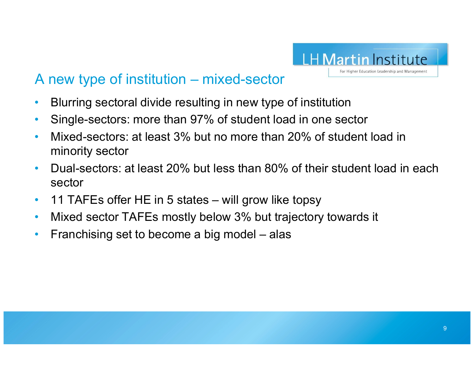

## A new type of institution – mixed-sector

- •Blurring sectoral divide resulting in new type of institution
- •Single-sectors: more than 97% of student load in one sector
- • Mixed-sectors: at least 3% but no more than 20% of student load in minority sector
- $\bullet$  Dual-sectors: at least 20% but less than 80% of their student load in each sector
- $\bullet$ 11 TAFEs offer HE in 5 states – will grow like topsy
- $\bullet$ Mixed sector TAFEs mostly below 3% but trajectory towards it
- •Franchising set to become a big model – alas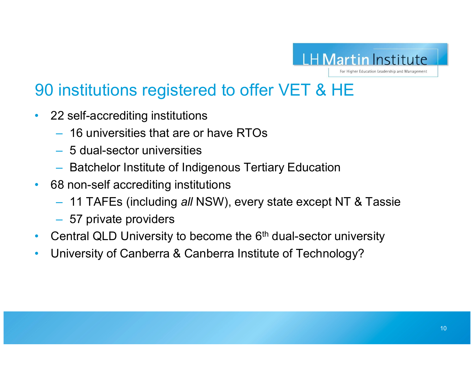

# 90 institutions registered to offer VET & HE

- $\bullet$  22 self-accrediting institutions
	- $-$  16 universities that are or have RTOs
	- $-$  5 dual-sector universities
	- $-$  Batchelor Institute of Indigenous Tertiary Education
- $\bullet$  68 non-self accrediting institutions
	- $-$  11 TAFEs (including *all* NSW), every state except NT & Tassie
	- 57 private providers
- $\bullet$ Central QLD University to become the 6<sup>th</sup> dual-sector university
- •University of Canberra & Canberra Institute of Technology?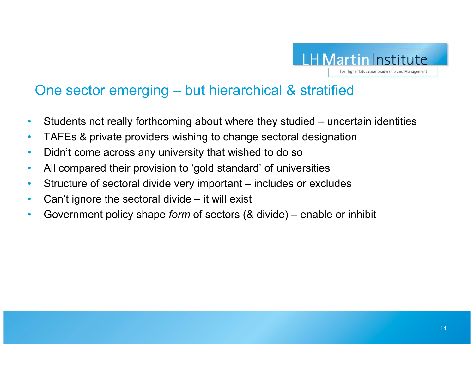

## One sector emerging – but hierarchical & stratified

- •Students not really forthcoming about where they studied – uncertain identities
- $\bullet$ TAFEs & private providers wishing to change sectoral designation
- •Didn't come across any university that wished to do so
- •All compared their provision to 'gold standard' of universities
- $\bullet$ Structure of sectoral divide very important – includes or excludes
- •Can't ignore the sectoral divide – it will exist
- $\bullet$ • Government policy shape *form* of sectors (& divide) – enable or inhibit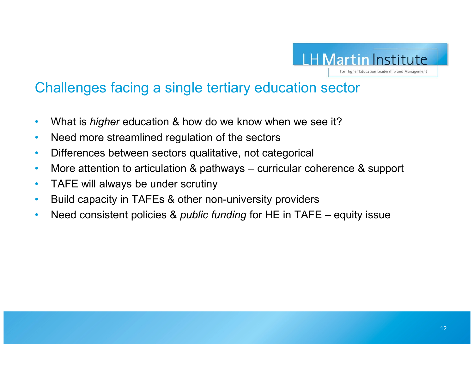

## Challenges facing a single tertiary education sector

- •What is *higher* education & how do we know when we see it?
- •Need more streamlined regulation of the sectors
- •Differences between sectors qualitative, not categorical
- $\bullet$ More attention to articulation & pathways – curricular coherence & support
- $\bullet$ TAFE will always be under scrutiny
- $\bullet$ Build capacity in TAFEs & other non-university providers
- •• Need consistent policies & *public funding* for HE in TAFE – equity issue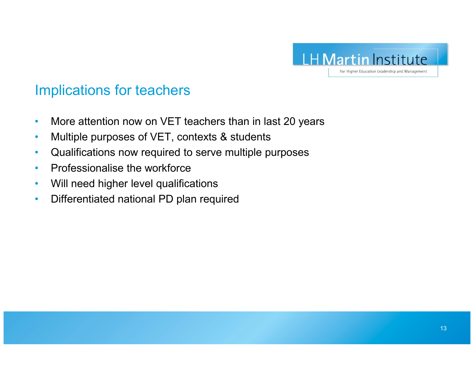

#### Implications for teachers

- •More attention now on VET teachers than in last 20 years
- •Multiple purposes of VET, contexts & students
- Qualifications now required to serve multiple purposes •
- $\bullet$ Professionalise the workforce
- •Will need higher level qualifications
- •Differentiated national PD plan required